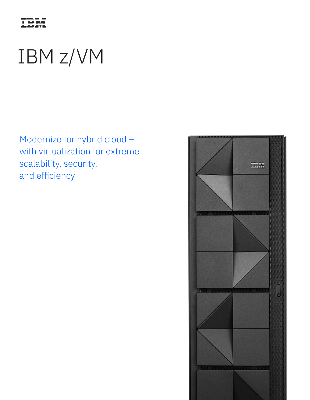

# IBM z/VM

Modernize for hybrid cloud – with virtualization for extreme scalability, security, and efficiency

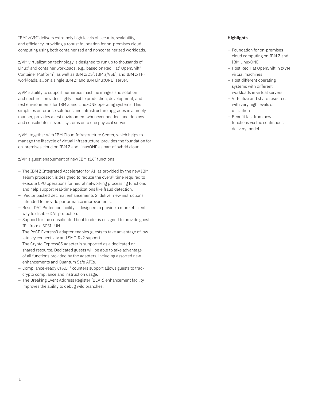IBM® z/VM® delivers extremely high levels of security, scalability, and efficiency, providing a robust foundation for on-premises cloud computing using both containerized and noncontainerized workloads.

z/VM virtualization technology is designed to run up to thousands of Linux® and container workloads, e.g., based on Red Hat® OpenShift® Container Platform<sup>1</sup>, as well as IBM z/OS<sup>®</sup>, IBM z/VSE<sup>®</sup>, and IBM z/TPF workloads, all on a single IBM Z® and IBM LinuxONE2 server.

z/VM's ability to support numerous machine images and solution architectures provides highly flexible production, development, and test environments for IBM Z and LinuxONE operating systems. This simplifies enterprise solutions and infrastructure upgrades in a timely manner, provides a test environment whenever needed, and deploys and consolidates several systems onto one physical server.

z/VM, together with IBM Cloud Infrastructure Center, which helps to manage the lifecycle of virtual infrastructure, provides the foundation for on-premises cloud on IBM Z and LinuxONE as part of hybrid cloud.

z/VM's guest enablement of new IBM z16™ functions:

- The IBM Z Integrated Accelerator for AI, as provided by the new IBM Telum processor, is designed to reduce the overall time required to execute CPU operations for neural networking processing functions and help support real-time applications like fraud detection.
- 'Vector packed decimal enhancements 2' deliver new instructions intended to provide performance improvements.
- Reset DAT Protection facility is designed to provide a more efficient way to disable DAT protection.
- Support for the consolidated boot loader is designed to provide guest IPL from a SCSI LUN.
- The RoCE Express3 adapter enables guests to take advantage of low latency connectivity and SMC-Rv2 support.
- The Crypto Express8S adapter is supported as a dedicated or shared resource. Dedicated guests will be able to take advantage of all functions provided by the adapters, including assorted new enhancements and Quantum Safe APIs.
- Compliance-ready CPACF3 counters support allows guests to track crypto compliance and instruction usage.
- The Breaking Event Address Register (BEAR) enhancement facility improves the ability to debug wild branches.

## **Highlights**

- Foundation for on-premises cloud computing on IBM Z and IBM LinuxONE
- Host Red Hat OpenShift in z/VM virtual machines
- Host different operating systems with different workloads in virtual servers
- Virtualize and share resources with very high levels of utilization
- Benefit fast from new functions via the continuous delivery model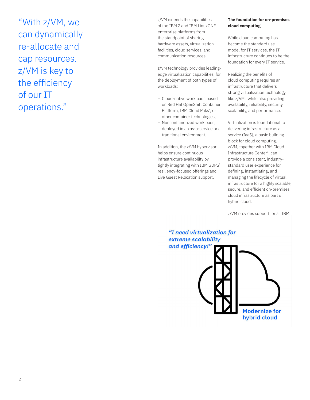"With z/VM, we can dynamically re-allocate and cap resources. z/VM is key to the efficiency of our IT operations."

z/VM extends the capabilities of the IBM Z and IBM LinuxONE enterprise platforms from the standpoint of sharing hardware assets, virtualization facilities, cloud services, and communication resources.

z/VM technology provides leadingedge virtualization capabilities, for the deployment of both types of workloads:

- Cloud-native workloads based on Red Hat OpenShift Container Platform, IBM Cloud Paks® , or other container technologies,
- Noncontainerized workloads, deployed in an as-a-service or a traditional environment.

In addition, the z/VM hypervisor helps ensure continuous infrastructure availability by tightly integrating with IBM GDPS® resiliency-focused offerings and Live Guest Relocation support.

## **The foundation for on-premises cloud computing**

While cloud computing has become the standard use model for IT services, the IT infrastructure continues to be the foundation for every IT service.

Realizing the benefits of cloud computing requires an infrastructure that delivers strong virtualization technology, like z/VM, while also providing availability, reliability, security, scalability, and performance.

Virtualization is foundational to delivering infrastructure as a service (IaaS), a basic building block for cloud computing. z/VM, together with IBM Cloud Infrastructure Center4, can provide a consistent, industrystandard user experience for defining, instantiating, and managing the lifecycle of virtual infrastructure for a highly scalable, secure, and efficient on-premises cloud infrastructure as part of hybrid cloud.

z/VM provides support for all IBM

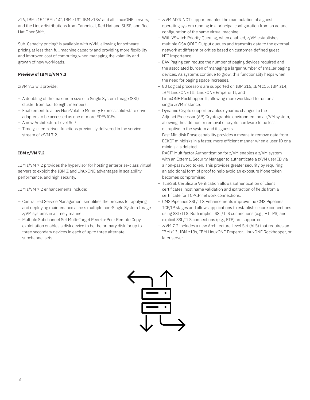z16, IBM z15™ IBM z14® , IBM z13® , IBM z13s® and all LinuxONE servers, and the Linux distributions from Canonical, Red Hat and SUSE, and Red Hat OpenShift.

Sub-Capacity pricing<sup>5</sup> is available with z/VM, allowing for software pricing at less than full machine capacity and providing more flexibility and improved cost of computing when managing the volatility and growth of new workloads.

## **Preview of IBM z/VM 7.3**

z/VM 7.3 will provide:

- A doubling of the maximum size of a Single System Image (SSI) cluster from four to eight members.
- Enablement to allow Non-Volatile Memory Express solid-state drive adapters to be accessed as one or more EDEVICEs.
- A new Architecture Level Set<sup>6</sup>.
- Timely, client-driven functions previously delivered in the service stream of z/VM 7.2.

## **IBM z/VM 7.2**

IBM z/VM 7.2 provides the hypervisor for hosting enterprise-class virtual servers to exploit the IBM Z and LinuxONE advantages in scalability, performance, and high security.

IBM z/VM 7.2 enhancements include:

- Centralized Service Management simplifies the process for applying and deploying maintenance across multiple non-Single System Image z/VM systems in a timely manner.
- Multiple Subchannel Set Multi-Target Peer-to-Peer Remote Copy exploitation enables a disk device to be the primary disk for up to three secondary devices in each of up to three alternate subchannel sets.
- z/VM ADJUNCT support enables the manipulation of a guest operating system running in a principal configuration from an adjunct configuration of the same virtual machine.
- With VSwitch Priority Queuing, when enabled, z/VM establishes multiple OSA QDIO Output queues and transmits data to the external network at different priorities based on customer-defined guest NIC importance.
- EAV Paging can reduce the number of paging devices required and the associated burden of managing a larger number of smaller paging devices. As systems continue to grow, this functionality helps when the need for paging space increases.
- 80 Logical processors are supported on IBM z16, IBM z15, IBM z14, IBM LinuxONE III, LinuxONE Emperor II, and LinuxONE Rockhopper II, allowing more workload to run on a single z/VM instance.
- Dynamic Crypto support enables dynamic changes to the Adjunct Processor (AP) Cryptographic environment on a z/VM system, allowing the addition or removal of crypto hardware to be less disruptive to the system and its guests.
- Fast Minidisk Erase capability provides a means to remove data from ECKD™ minidisks in a faster, more efficient manner when a user ID or a minidisk is deleted.
- RACF® Multifactor Authentication for z/VM enables a z/VM system with an External Security Manager to authenticate a z/VM user ID via a non-password token. This provides greater security by requiring an additional form of proof to help avoid an exposure if one token becomes compromised.
- TLS/SSL Certificate Verification allows authentication of client certificates, host name validation and extraction of fields from a certificate for TCP/IP network connections.
- CMS Pipelines SSL/TLS Enhancements improve the CMS Pipelines TCP/IP stages and allows applications to establish secure connections using SSL/TLS. Both implicit SSL/TLS connections (e.g., HTTPS) and explicit SSL/TLS connections (e.g., FTP) are supported.
- z/VM 7.2 includes a new Architecture Level Set (ALS) that requires an IBM z13, IBM z13s, IBM LinuxONE Emperor, LinuxONE Rockhopper, or later server.

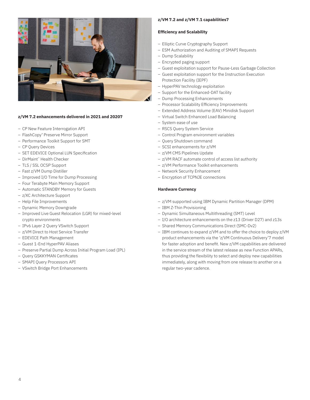

## **z/VM 7.2 enhancements delivered in 2021 and 20207**

- CP New Feature Interrogation API
- FlashCopy® Preserve Mirror Support
- Performance Toolkit Support for SMT
- CP Query Devices
- SET EDEVICE Optional LUN Specification
- DirMaint™ Health Checker
- TLS / SSL OCSP Support
- Fast z/VM Dump Distiller
- Improved I/O Time for Dump Processing
- Four Terabyte Main Memory Support
- Automatic STANDBY Memory for Guests
- z/XC Architecture Support
- Help File Improvements
- Dynamic Memory Downgrade
- Improved Live Guest Relocation (LGR) for mixed-level crypto environments
- IPv6 Layer 2 Query VSwitch Support
- z/VM Direct to Host Service Transfer
- EDEVICE Path Management
- Guest 1-End HyperPAV Aliases
- Preserve Partial Dump Across Initial Program Load (IPL)
- Query GSKKYMAN Certificates
- SMAPI Query Processors API
- VSwitch Bridge Port Enhancements

#### **z/VM 7.2 and z/VM 7.1 capabilities7**

#### **Efficiency and Scalability**

- Elliptic Curve Cryptography Support
- ESM Authorization and Auditing of SMAPI Requests
- Dump Scalability
- Encrypted paging support
- Guest exploitation support for Pause-Less Garbage Collection
- Guest exploitation support for the Instruction Execution Protection Facility (IEPF)
- HyperPAV technology exploitation
- Support for the Enhanced-DAT facility
- Dump Processing Enhancements
- Processor Scalability Efficiency Improvements
- Extended Address Volume (EAV) Minidisk Support
- Virtual Switch Enhanced Load Balancing
- System ease of use
- RSCS Query System Service
- Control Program environment variables
- Query Shutdown command
- SCSI enhancements for z/VM
- z/VM CMS Pipelines Update
- z/VM RACF automate control of access list authority
- z/VM Performance Toolkit enhancements
- Network Security Enhancement
- Encryption of TCPNJE connections

#### **Hardware Currency**

- z/VM supported using IBM Dynamic Partition Manager (DPM)
- IBM Z-Thin Provisioning
- Dynamic Simultaneous Multithreading (SMT) Level
- I/O architecture enhancements on the z13 (Driver D27) and z13s
- Shared Memory Communications Direct (SMC-Dv2)
- IBM continues to expand z/VM and to offer the choice to deploy z/VM product enhancements via the 'z/VM Continuous Delivery'7 model for faster adoption and benefit. New z/VM capabilities are delivered in the service stream of the latest release as new Function APARs, thus providing the flexibility to select and deploy new capabilities immediately, along with moving from one release to another on a regular two-year cadence.